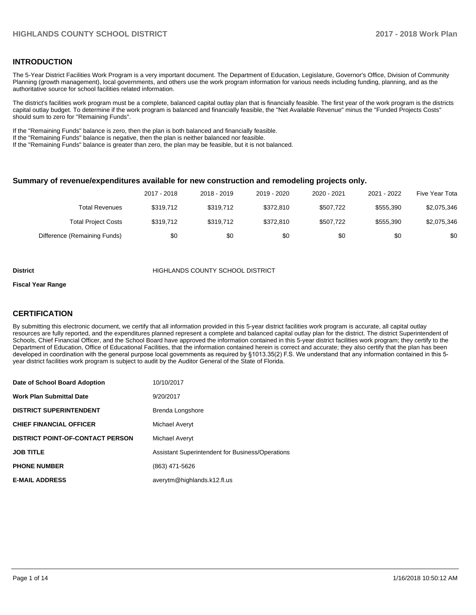# **INTRODUCTION**

The 5-Year District Facilities Work Program is a very important document. The Department of Education, Legislature, Governor's Office, Division of Community Planning (growth management), local governments, and others use the work program information for various needs including funding, planning, and as the authoritative source for school facilities related information.

The district's facilities work program must be a complete, balanced capital outlay plan that is financially feasible. The first year of the work program is the districts capital outlay budget. To determine if the work program is balanced and financially feasible, the "Net Available Revenue" minus the "Funded Projects Costs" should sum to zero for "Remaining Funds".

If the "Remaining Funds" balance is zero, then the plan is both balanced and financially feasible.

If the "Remaining Funds" balance is negative, then the plan is neither balanced nor feasible.

If the "Remaining Funds" balance is greater than zero, the plan may be feasible, but it is not balanced.

### **Summary of revenue/expenditures available for new construction and remodeling projects only.**

| Five Year Tota | 2021 - 2022 | 2020 - 2021 | 2019 - 2020 | 2018 - 2019 | 2017 - 2018 |                              |
|----------------|-------------|-------------|-------------|-------------|-------------|------------------------------|
| \$2,075,346    | \$555.390   | \$507.722   | \$372.810   | \$319.712   | \$319.712   | Total Revenues               |
| \$2,075,346    | \$555.390   | \$507.722   | \$372.810   | \$319.712   | \$319.712   | <b>Total Project Costs</b>   |
| \$0            | \$0         | \$0         | \$0         | \$0         | \$0         | Difference (Remaining Funds) |

#### **District COUNTY SCHOOL DISTRICT**

#### **Fiscal Year Range**

# **CERTIFICATION**

By submitting this electronic document, we certify that all information provided in this 5-year district facilities work program is accurate, all capital outlay resources are fully reported, and the expenditures planned represent a complete and balanced capital outlay plan for the district. The district Superintendent of Schools, Chief Financial Officer, and the School Board have approved the information contained in this 5-year district facilities work program; they certify to the Department of Education, Office of Educational Facilities, that the information contained herein is correct and accurate; they also certify that the plan has been developed in coordination with the general purpose local governments as required by §1013.35(2) F.S. We understand that any information contained in this 5year district facilities work program is subject to audit by the Auditor General of the State of Florida.

| Date of School Board Adoption           | 10/10/2017                                       |
|-----------------------------------------|--------------------------------------------------|
| <b>Work Plan Submittal Date</b>         | 9/20/2017                                        |
| <b>DISTRICT SUPERINTENDENT</b>          | Brenda Longshore                                 |
| <b>CHIEF FINANCIAL OFFICER</b>          | Michael Averyt                                   |
| <b>DISTRICT POINT-OF-CONTACT PERSON</b> | Michael Averyt                                   |
| <b>JOB TITLE</b>                        | Assistant Superintendent for Business/Operations |
| <b>PHONE NUMBER</b>                     | (863) 471-5626                                   |
| <b>E-MAIL ADDRESS</b>                   | averytm@highlands.k12.fl.us                      |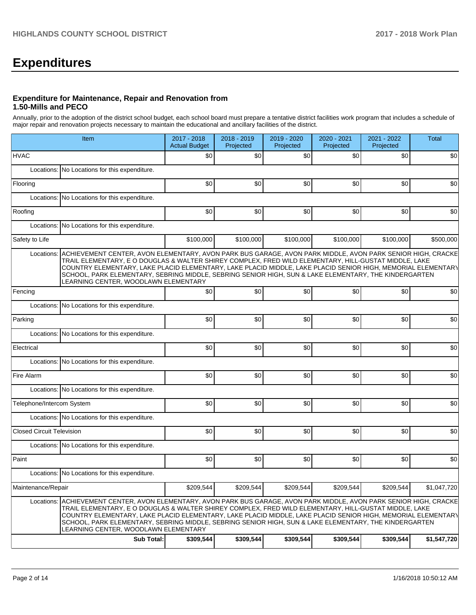# **Expenditures**

# **Expenditure for Maintenance, Repair and Renovation from 1.50-Mills and PECO**

Annually, prior to the adoption of the district school budget, each school board must prepare a tentative district facilities work program that includes a schedule of major repair and renovation projects necessary to maintain the educational and ancillary facilities of the district.

|                                  | Item                                                                                                                                                                                                                                                                                                                                                                                                                                                                                 | 2017 - 2018<br><b>Actual Budget</b> | 2018 - 2019<br>Projected | 2019 - 2020<br>Projected | 2020 - 2021<br>Projected | 2021 - 2022<br>Projected | <b>Total</b> |  |  |  |
|----------------------------------|--------------------------------------------------------------------------------------------------------------------------------------------------------------------------------------------------------------------------------------------------------------------------------------------------------------------------------------------------------------------------------------------------------------------------------------------------------------------------------------|-------------------------------------|--------------------------|--------------------------|--------------------------|--------------------------|--------------|--|--|--|
| <b>HVAC</b>                      |                                                                                                                                                                                                                                                                                                                                                                                                                                                                                      | \$0                                 | \$0                      | \$0                      | \$0                      | \$0                      | \$0          |  |  |  |
|                                  | Locations: No Locations for this expenditure.                                                                                                                                                                                                                                                                                                                                                                                                                                        |                                     |                          |                          |                          |                          |              |  |  |  |
| Flooring                         |                                                                                                                                                                                                                                                                                                                                                                                                                                                                                      | \$0                                 | \$0                      | \$0                      | \$0                      | \$0                      | \$0          |  |  |  |
|                                  | Locations: No Locations for this expenditure.                                                                                                                                                                                                                                                                                                                                                                                                                                        |                                     |                          |                          |                          |                          |              |  |  |  |
| Roofing                          |                                                                                                                                                                                                                                                                                                                                                                                                                                                                                      | \$0                                 | \$0                      | \$0                      | \$0                      | \$0                      | \$0          |  |  |  |
| Locations:                       | No Locations for this expenditure.                                                                                                                                                                                                                                                                                                                                                                                                                                                   |                                     |                          |                          |                          |                          |              |  |  |  |
| Safety to Life                   |                                                                                                                                                                                                                                                                                                                                                                                                                                                                                      | \$100,000                           | \$100,000                | \$100,000                | \$100,000                | \$100,000                | \$500,000    |  |  |  |
| Locations:                       | ACHIEVEMENT CENTER, AVON ELEMENTARY, AVON PARK BUS GARAGE, AVON PARK MIDDLE, AVON PARK SENIOR HIGH, CRACKE<br>TRAIL ELEMENTARY, E O DOUGLAS & WALTER SHIREY COMPLEX, FRED WILD ELEMENTARY, HILL-GUSTAT MIDDLE, LAKE<br>COUNTRY ELEMENTARY, LAKE PLACID ELEMENTARY, LAKE PLACID MIDDLE, LAKE PLACID SENIOR HIGH, MEMORIAL ELEMENTARY<br>SCHOOL, PARK ELEMENTARY, SEBRING MIDDLE, SEBRING SENIOR HIGH, SUN & LAKE ELEMENTARY, THE KINDERGARTEN<br>LEARNING CENTER, WOODLAWN ELEMENTARY |                                     |                          |                          |                          |                          |              |  |  |  |
| Fencing                          |                                                                                                                                                                                                                                                                                                                                                                                                                                                                                      | \$0                                 | \$0                      | \$0                      | \$0                      | \$0 <sub>1</sub>         | \$0          |  |  |  |
|                                  | Locations: No Locations for this expenditure.                                                                                                                                                                                                                                                                                                                                                                                                                                        |                                     |                          |                          |                          |                          |              |  |  |  |
| Parking                          |                                                                                                                                                                                                                                                                                                                                                                                                                                                                                      | \$0                                 | \$0                      | \$0                      | \$0                      | \$0 <sub>1</sub>         | \$0          |  |  |  |
|                                  | Locations: No Locations for this expenditure.                                                                                                                                                                                                                                                                                                                                                                                                                                        |                                     |                          |                          |                          |                          |              |  |  |  |
| Electrical                       |                                                                                                                                                                                                                                                                                                                                                                                                                                                                                      | \$0                                 | \$0                      | \$0                      | \$0                      | \$0 <sub>1</sub>         | \$0          |  |  |  |
|                                  | Locations: No Locations for this expenditure.                                                                                                                                                                                                                                                                                                                                                                                                                                        |                                     |                          |                          |                          |                          |              |  |  |  |
| Fire Alarm                       |                                                                                                                                                                                                                                                                                                                                                                                                                                                                                      | \$0                                 | \$0                      | \$0                      | \$0                      | \$0 <sub>1</sub>         | \$0          |  |  |  |
|                                  | Locations: No Locations for this expenditure.                                                                                                                                                                                                                                                                                                                                                                                                                                        |                                     |                          |                          |                          |                          |              |  |  |  |
| Telephone/Intercom System        |                                                                                                                                                                                                                                                                                                                                                                                                                                                                                      | \$0                                 | \$0                      | \$0                      | \$0                      | \$0                      | \$0          |  |  |  |
|                                  | Locations: No Locations for this expenditure.                                                                                                                                                                                                                                                                                                                                                                                                                                        |                                     |                          |                          |                          |                          |              |  |  |  |
| <b>Closed Circuit Television</b> |                                                                                                                                                                                                                                                                                                                                                                                                                                                                                      | \$0                                 | \$0                      | \$0                      | \$0                      | \$0 <sub>1</sub>         | \$0          |  |  |  |
|                                  | Locations: No Locations for this expenditure.                                                                                                                                                                                                                                                                                                                                                                                                                                        |                                     |                          |                          |                          |                          |              |  |  |  |
| Paint                            |                                                                                                                                                                                                                                                                                                                                                                                                                                                                                      | \$0                                 | \$0                      | \$0                      | \$0                      | \$0                      | \$0          |  |  |  |
|                                  | Locations: No Locations for this expenditure.                                                                                                                                                                                                                                                                                                                                                                                                                                        |                                     |                          |                          |                          |                          |              |  |  |  |
| Maintenance/Repair               |                                                                                                                                                                                                                                                                                                                                                                                                                                                                                      | \$209,544                           | \$209,544                | \$209,544                | \$209,544                | \$209,544                | \$1,047,720  |  |  |  |
| Locations:                       | ACHIEVEMENT CENTER, AVON ELEMENTARY, AVON PARK BUS GARAGE, AVON PARK MIDDLE, AVON PARK SENIOR HIGH, CRACKE<br>TRAIL ELEMENTARY, E O DOUGLAS & WALTER SHIREY COMPLEX, FRED WILD ELEMENTARY, HILL-GUSTAT MIDDLE, LAKE<br>COUNTRY ELEMENTARY, LAKE PLACID ELEMENTARY, LAKE PLACID MIDDLE, LAKE PLACID SENIOR HIGH, MEMORIAL ELEMENTARY<br>SCHOOL, PARK ELEMENTARY, SEBRING MIDDLE, SEBRING SENIOR HIGH, SUN & LAKE ELEMENTARY, THE KINDERGARTEN<br>LEARNING CENTER, WOODLAWN ELEMENTARY |                                     |                          |                          |                          |                          |              |  |  |  |
|                                  | Sub Total:                                                                                                                                                                                                                                                                                                                                                                                                                                                                           | \$309,544                           | \$309,544                | \$309,544                | \$309,544                | \$309,544                | \$1,547,720  |  |  |  |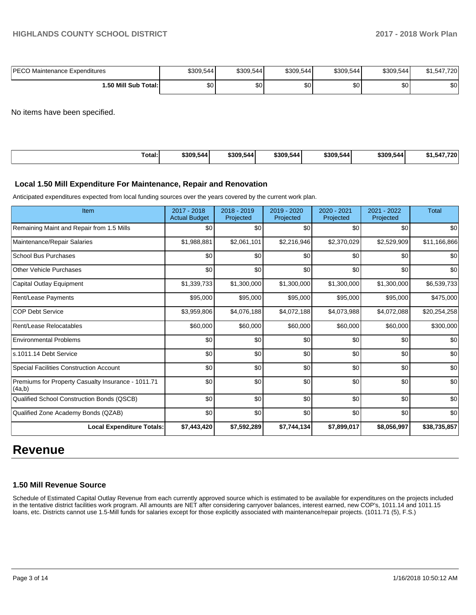| <b>PECO Maintenance Expenditures</b> | \$309,544 | \$309,544 | \$309,544        | \$309,544 | \$309,544 | \$1,547,720 |
|--------------------------------------|-----------|-----------|------------------|-----------|-----------|-------------|
| 1.50 Mill Sub Total:                 | ጦጣ<br>Ψ   | ሖ<br>υŒ   | \$0 <sub>1</sub> | ፍሰ<br>υU  | ا 30      | \$0         |

No items have been specified.

| Гotal: | \$309.544 | \$309,544 | \$309.544 | \$309.544 | -<br>\$309,5441 | 720<br><br>∴04∶. |
|--------|-----------|-----------|-----------|-----------|-----------------|------------------|
|--------|-----------|-----------|-----------|-----------|-----------------|------------------|

# **Local 1.50 Mill Expenditure For Maintenance, Repair and Renovation**

Anticipated expenditures expected from local funding sources over the years covered by the current work plan.

| Item                                                         | 2017 - 2018<br><b>Actual Budget</b> | $2018 - 2019$<br>Projected | $2019 - 2020$<br>Projected | 2020 - 2021<br>Projected | 2021 - 2022<br>Projected | <b>Total</b> |
|--------------------------------------------------------------|-------------------------------------|----------------------------|----------------------------|--------------------------|--------------------------|--------------|
| Remaining Maint and Repair from 1.5 Mills                    | \$0                                 | \$0                        | \$0                        | \$0                      | \$0                      | \$0          |
| Maintenance/Repair Salaries                                  | \$1,988,881                         | \$2,061,101                | \$2,216,946                | \$2,370,029              | \$2,529,909              | \$11,166,866 |
| <b>School Bus Purchases</b>                                  | \$0                                 | \$0                        | \$0                        | \$0                      | \$0                      | \$0          |
| <b>Other Vehicle Purchases</b>                               | \$0                                 | \$0                        | \$0                        | \$0                      | \$0                      | \$0          |
| Capital Outlay Equipment                                     | \$1,339,733                         | \$1,300,000                | \$1,300,000                | \$1,300,000              | \$1,300,000              | \$6,539,733  |
| Rent/Lease Payments                                          | \$95,000                            | \$95,000                   | \$95,000                   | \$95,000                 | \$95,000                 | \$475,000    |
| <b>COP Debt Service</b>                                      | \$3,959,806                         | \$4,076,188                | \$4,072,188                | \$4,073,988              | \$4,072,088              | \$20,254,258 |
| Rent/Lease Relocatables                                      | \$60,000                            | \$60,000                   | \$60,000                   | \$60,000                 | \$60,000                 | \$300,000    |
| <b>Environmental Problems</b>                                | \$0                                 | \$0                        | \$0                        | \$0                      | \$0                      | \$0          |
| s.1011.14 Debt Service                                       | \$0                                 | \$0                        | \$0                        | \$0                      | \$0                      | \$0          |
| Special Facilities Construction Account                      | \$0                                 | \$0                        | \$0                        | \$0                      | \$0                      | \$0          |
| Premiums for Property Casualty Insurance - 1011.71<br>(4a,b) | \$0                                 | \$0                        | \$0                        | \$0                      | \$0                      | \$0          |
| Qualified School Construction Bonds (QSCB)                   | \$0                                 | \$0                        | \$0                        | \$0                      | \$0                      | \$0          |
| Qualified Zone Academy Bonds (QZAB)                          | \$0                                 | \$0                        | \$0                        | \$0                      | \$0                      | \$0          |
| <b>Local Expenditure Totals:</b>                             | \$7,443,420                         | \$7,592,289                | \$7,744,134                | \$7,899,017              | \$8,056,997              | \$38,735,857 |

# **Revenue**

### **1.50 Mill Revenue Source**

Schedule of Estimated Capital Outlay Revenue from each currently approved source which is estimated to be available for expenditures on the projects included in the tentative district facilities work program. All amounts are NET after considering carryover balances, interest earned, new COP's, 1011.14 and 1011.15 loans, etc. Districts cannot use 1.5-Mill funds for salaries except for those explicitly associated with maintenance/repair projects. (1011.71 (5), F.S.)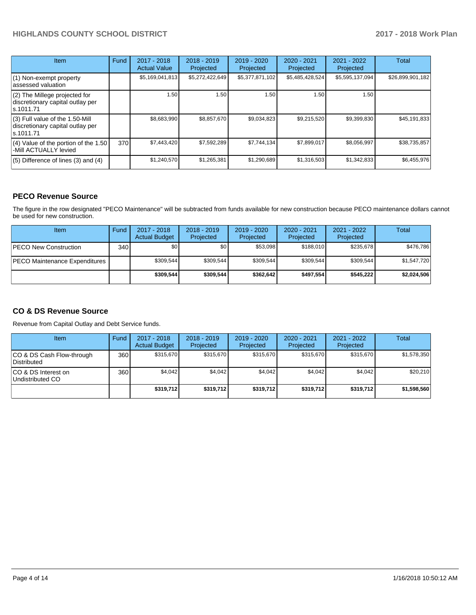| Item                                                                                | Fund | 2017 - 2018<br><b>Actual Value</b> | $2018 - 2019$<br>Projected | $2019 - 2020$<br>Projected | $2020 - 2021$<br>Projected | $2021 - 2022$<br>Projected | <b>Total</b>     |
|-------------------------------------------------------------------------------------|------|------------------------------------|----------------------------|----------------------------|----------------------------|----------------------------|------------------|
| $(1)$ Non-exempt property<br>lassessed valuation                                    |      | \$5,169,041,813                    | \$5,272,422,649            | \$5,377,871,102            | \$5,485,428,524            | \$5,595,137,094            | \$26,899,901,182 |
| $(2)$ The Millege projected for<br>discretionary capital outlay per<br>ls.1011.71   |      | 1.50                               | 1.50                       | 1.50                       | 1.50                       | 1.50                       |                  |
| $(3)$ Full value of the 1.50-Mill<br>discretionary capital outlay per<br>ls.1011.71 |      | \$8,683,990                        | \$8,857,670                | \$9,034,823                | \$9,215,520                | \$9,399,830                | \$45,191,833     |
| $(4)$ Value of the portion of the 1.50<br>-Mill ACTUALLY levied                     | 370I | \$7,443,420                        | \$7,592,289                | \$7,744,134                | \$7,899,017                | \$8,056,997                | \$38,735,857     |
| $(5)$ Difference of lines $(3)$ and $(4)$                                           |      | \$1,240,570                        | \$1,265,381                | \$1,290,689                | \$1,316,503                | \$1,342,833                | \$6,455,976      |

# **PECO Revenue Source**

The figure in the row designated "PECO Maintenance" will be subtracted from funds available for new construction because PECO maintenance dollars cannot be used for new construction.

| Item                           | Fund         | $2017 - 2018$<br><b>Actual Budget</b> | $2018 - 2019$<br>Projected | 2019 - 2020<br>Projected | $2020 - 2021$<br>Projected | $2021 - 2022$<br>Projected | <b>Total</b> |
|--------------------------------|--------------|---------------------------------------|----------------------------|--------------------------|----------------------------|----------------------------|--------------|
| <b>IPECO New Construction</b>  | 340 <b>I</b> | \$0                                   | \$0 <sub>1</sub>           | \$53.098                 | \$188.010                  | \$235.678                  | \$476,786    |
| IPECO Maintenance Expenditures |              | \$309,544                             | \$309,544                  | \$309,544                | \$309.544                  | \$309,544                  | \$1,547,720  |
|                                |              | \$309.544                             | \$309.544                  | \$362.642                | \$497.554                  | \$545.222                  | \$2,024,506  |

# **CO & DS Revenue Source**

Revenue from Capital Outlay and Debt Service funds.

| Item                                      | Fund | $2017 - 2018$<br><b>Actual Budget</b> | $2018 - 2019$<br>Projected | $2019 - 2020$<br>Projected | $2020 - 2021$<br>Projected | $2021 - 2022$<br>Projected | Total       |
|-------------------------------------------|------|---------------------------------------|----------------------------|----------------------------|----------------------------|----------------------------|-------------|
| ICO & DS Cash Flow-through<br>Distributed | 360  | \$315.670                             | \$315.670                  | \$315.670                  | \$315,670                  | \$315.670                  | \$1,578,350 |
| ICO & DS Interest on<br>Undistributed CO  | 360  | \$4.042                               | \$4,042                    | \$4.042                    | \$4.042                    | \$4.042                    | \$20,210    |
|                                           |      | \$319,712                             | \$319,712                  | \$319,712                  | \$319,712                  | \$319,712                  | \$1,598,560 |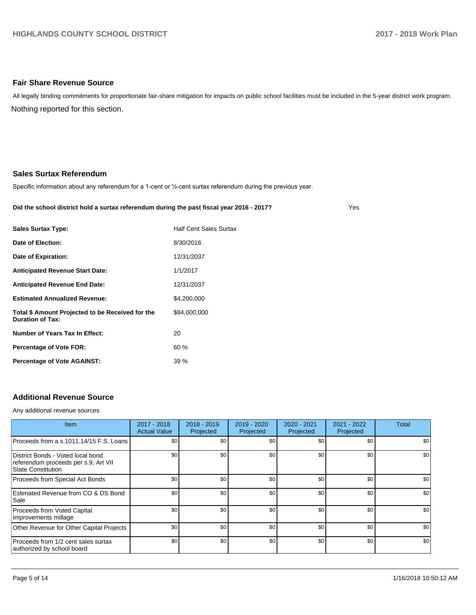## **Fair Share Revenue Source**

Nothing reported for this section. All legally binding commitments for proportionate fair-share mitigation for impacts on public school facilities must be included in the 5-year district work program.

### **Sales Surtax Referendum**

Specific information about any referendum for a 1-cent or 1/2-cent surtax referendum during the previous year.

#### **Did the school district hold a surtax referendum during the past fiscal year 2016 - 2017?**

Yes

| <b>Sales Surtax Type:</b>                                                   | <b>Half Cent Sales Surtax</b> |
|-----------------------------------------------------------------------------|-------------------------------|
| Date of Election:                                                           | 8/30/2016                     |
| Date of Expiration:                                                         | 12/31/2037                    |
| <b>Anticipated Revenue Start Date:</b>                                      | 1/1/2017                      |
| <b>Anticipated Revenue End Date:</b>                                        | 12/31/2037                    |
| <b>Estimated Annualized Revenue:</b>                                        | \$4,200,000                   |
| Total \$ Amount Projected to be Received for the<br><b>Duration of Tax:</b> | \$84,000,000                  |
| Number of Years Tax In Effect:                                              | 20                            |
| <b>Percentage of Vote FOR:</b>                                              | 60%                           |
| <b>Percentage of Vote AGAINST:</b>                                          | 39%                           |

# **Additional Revenue Source**

Any additional revenue sources

| <b>Item</b>                                                                                            | 2017 - 2018<br><b>Actual Value</b> | $2018 - 2019$<br>Projected | 2019 - 2020<br>Projected | $2020 - 2021$<br>Projected | $2021 - 2022$<br>Projected | <b>Total</b> |
|--------------------------------------------------------------------------------------------------------|------------------------------------|----------------------------|--------------------------|----------------------------|----------------------------|--------------|
| Proceeds from a s.1011.14/15 F.S. Loans                                                                | \$0                                | \$0 <sub>1</sub>           | \$0                      | \$0                        | \$0                        | \$0          |
| District Bonds - Voted local bond<br>referendum proceeds per s.9, Art VII<br><b>State Constitution</b> | \$0                                | \$0 <sub>1</sub>           | \$0                      | \$0                        | \$0                        | \$0          |
| Proceeds from Special Act Bonds                                                                        | \$0                                | \$0 <sub>1</sub>           | \$0                      | \$0                        | \$0                        | \$0          |
| Estimated Revenue from CO & DS Bond<br>Sale                                                            | \$0                                | \$0 <sub>1</sub>           | \$0                      | \$0                        | \$0                        | \$0          |
| Proceeds from Voted Capital<br>Improvements millage                                                    | \$0                                | \$0 <sub>1</sub>           | \$0                      | \$0                        | \$0                        | \$0          |
| Other Revenue for Other Capital Projects                                                               | \$0                                | \$0 <sub>1</sub>           | \$0                      | \$0                        | \$0                        | \$0          |
| Proceeds from 1/2 cent sales surtax<br>authorized by school board                                      | \$0                                | \$0 <sub>1</sub>           | \$0                      | \$0                        | \$0                        | \$0          |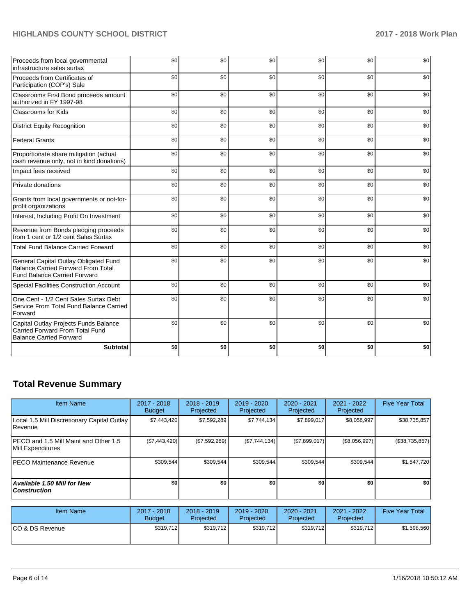| Proceeds from local governmental<br>infrastructure sales surtax                                                           | \$0 | \$0 | \$0 | \$0 | \$0 | \$0 |
|---------------------------------------------------------------------------------------------------------------------------|-----|-----|-----|-----|-----|-----|
| Proceeds from Certificates of<br>Participation (COP's) Sale                                                               | \$0 | \$0 | \$0 | \$0 | \$0 | \$0 |
| Classrooms First Bond proceeds amount<br>authorized in FY 1997-98                                                         | \$0 | \$0 | \$0 | \$0 | \$0 | \$0 |
| <b>Classrooms for Kids</b>                                                                                                | \$0 | \$0 | \$0 | \$0 | \$0 | \$0 |
| <b>District Equity Recognition</b>                                                                                        | \$0 | \$0 | \$0 | \$0 | \$0 | \$0 |
| <b>Federal Grants</b>                                                                                                     | \$0 | \$0 | \$0 | \$0 | \$0 | \$0 |
| Proportionate share mitigation (actual<br>cash revenue only, not in kind donations)                                       | \$0 | \$0 | \$0 | \$0 | \$0 | \$0 |
| Impact fees received                                                                                                      | \$0 | \$0 | \$0 | \$0 | \$0 | \$0 |
| Private donations                                                                                                         | \$0 | \$0 | \$0 | \$0 | \$0 | \$0 |
| Grants from local governments or not-for-<br>profit organizations                                                         | \$0 | \$0 | \$0 | \$0 | \$0 | \$0 |
| Interest, Including Profit On Investment                                                                                  | \$0 | \$0 | \$0 | \$0 | \$0 | \$0 |
| Revenue from Bonds pledging proceeds<br>from 1 cent or 1/2 cent Sales Surtax                                              | \$0 | \$0 | \$0 | \$0 | \$0 | \$0 |
| <b>Total Fund Balance Carried Forward</b>                                                                                 | \$0 | \$0 | \$0 | \$0 | \$0 | \$0 |
| General Capital Outlay Obligated Fund<br><b>Balance Carried Forward From Total</b><br><b>Fund Balance Carried Forward</b> | \$0 | \$0 | \$0 | \$0 | \$0 | \$0 |
| <b>Special Facilities Construction Account</b>                                                                            | \$0 | \$0 | \$0 | \$0 | \$0 | \$0 |
| One Cent - 1/2 Cent Sales Surtax Debt<br>Service From Total Fund Balance Carried<br>Forward                               | \$0 | \$0 | \$0 | \$0 | \$0 | \$0 |
| Capital Outlay Projects Funds Balance<br>Carried Forward From Total Fund<br><b>Balance Carried Forward</b>                | \$0 | \$0 | \$0 | \$0 | \$0 | \$0 |
| <b>Subtotal</b>                                                                                                           | \$0 | \$0 | \$0 | \$0 | \$0 | \$0 |

# **Total Revenue Summary**

| <b>Item Name</b>                                                  | $2017 - 2018$<br><b>Budget</b> | $2018 - 2019$<br>Projected | $2019 - 2020$<br>Projected | $2020 - 2021$<br>Projected | 2021 - 2022<br>Projected | <b>Five Year Total</b> |
|-------------------------------------------------------------------|--------------------------------|----------------------------|----------------------------|----------------------------|--------------------------|------------------------|
| Local 1.5 Mill Discretionary Capital Outlay<br>Revenue            | \$7,443,420                    | \$7,592,289                | \$7.744.134                | \$7,899,017                | \$8,056,997              | \$38,735,857           |
| <b>PECO</b> and 1.5 Mill Maint and Other 1.5<br>Mill Expenditures | (\$7,443,420)                  | (\$7,592,289)              | (\$7,744,134)              | (\$7,899,017)              | (\$8,056,997)            | (\$38,735,857)         |
| <b>PECO Maintenance Revenue</b>                                   | \$309,544                      | \$309.544                  | \$309.544                  | \$309.544                  | \$309,544                | \$1,547,720            |
| Available 1.50 Mill for New<br><b>Construction</b>                | \$0                            | \$0                        | \$0                        | \$0                        | \$0                      | \$0                    |

| Item Name        | 2017 - 2018<br><b>Budget</b> | $2018 - 2019$<br>Projected | 2019 - 2020<br>Projected | 2020 - 2021<br>Projected | 2021 - 2022<br>Projected | <b>Five Year Total</b> |
|------------------|------------------------------|----------------------------|--------------------------|--------------------------|--------------------------|------------------------|
| ICO & DS Revenue | \$319.712                    | \$319,712                  | \$319.712                | \$319.712                | \$319.712                | \$1,598,560            |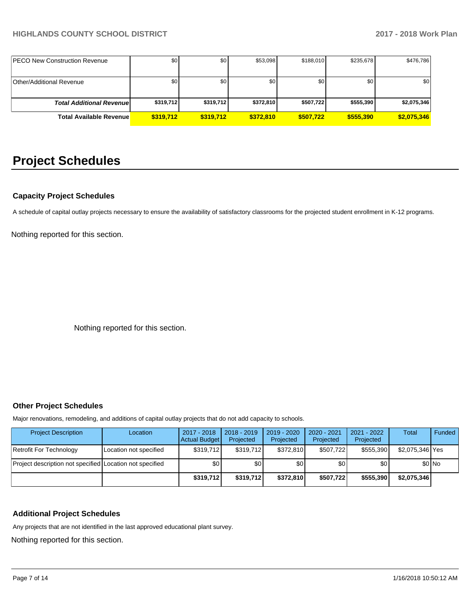| <b>IPECO New Construction Revenue</b> | \$0       | \$0       | \$53,098  | \$188.010 | \$235,678 | \$476,786   |
|---------------------------------------|-----------|-----------|-----------|-----------|-----------|-------------|
|                                       |           |           |           |           |           |             |
| <b>Other/Additional Revenue</b>       | \$0       | \$0       | \$0       | SO I      | \$0       | \$0         |
|                                       |           |           |           |           |           |             |
| <b>Total Additional Revenuel</b>      | \$319,712 | \$319,712 | \$372,810 | \$507,722 | \$555,390 | \$2,075,346 |
| <b>Total Available Revenue</b>        | \$319,712 | \$319,712 | \$372.810 | \$507.722 | \$555,390 | \$2,075,346 |

# **Project Schedules**

## **Capacity Project Schedules**

A schedule of capital outlay projects necessary to ensure the availability of satisfactory classrooms for the projected student enrollment in K-12 programs.

Nothing reported for this section.

Nothing reported for this section.

# **Other Project Schedules**

Major renovations, remodeling, and additions of capital outlay projects that do not add capacity to schools.

| <b>Project Description</b>                               | Location               | 2017 - 2018<br><b>Actual Budget</b> | $2018 - 2019$<br>Projected | 2019 - 2020<br>Projected | 2020 - 2021<br>Projected | 2021 - 2022<br>Projected | <b>Total</b>    | Funded  |
|----------------------------------------------------------|------------------------|-------------------------------------|----------------------------|--------------------------|--------------------------|--------------------------|-----------------|---------|
| Retrofit For Technology                                  | Location not specified | \$319.712                           | \$319.712                  | \$372.810                | \$507.722                | \$555.390                | \$2,075,346 Yes |         |
| Project description not specified Location not specified |                        | \$0                                 | \$0                        | \$0                      | \$0                      | \$0                      |                 | $$0$ No |
|                                                          |                        | \$319.712                           | \$319,712                  | \$372.810                | \$507.722                | \$555,390                | \$2,075,346     |         |

# **Additional Project Schedules**

Any projects that are not identified in the last approved educational plant survey.

Nothing reported for this section.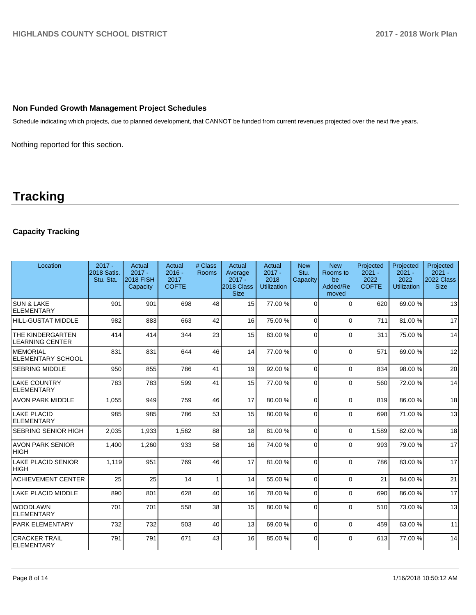# **Non Funded Growth Management Project Schedules**

Schedule indicating which projects, due to planned development, that CANNOT be funded from current revenues projected over the next five years.

Nothing reported for this section.

# **Tracking**

# **Capacity Tracking**

| Location                                          | $2017 -$<br><b>2018 Satis.</b><br>Stu. Sta. | Actual<br>$2017 -$<br><b>2018 FISH</b><br>Capacity | Actual<br>$2016 -$<br>2017<br><b>COFTE</b> | # Class<br><b>Rooms</b> | Actual<br>Average<br>$2017 -$<br>2018 Class<br><b>Size</b> | Actual<br>$2017 -$<br>2018<br><b>Utilization</b> | <b>New</b><br>Stu.<br>Capacity | <b>New</b><br>Rooms to<br>be<br>Added/Re<br>moved | Projected<br>$2021 -$<br>2022<br><b>COFTE</b> | Projected<br>$2021 -$<br>2022<br><b>Utilization</b> | Projected<br>$2021 -$<br><b>2022 Class</b><br><b>Size</b> |
|---------------------------------------------------|---------------------------------------------|----------------------------------------------------|--------------------------------------------|-------------------------|------------------------------------------------------------|--------------------------------------------------|--------------------------------|---------------------------------------------------|-----------------------------------------------|-----------------------------------------------------|-----------------------------------------------------------|
| <b>SUN &amp; LAKE</b><br>ELEMENTARY               | 901                                         | 901                                                | 698                                        | 48                      | 15                                                         | 77.00 %                                          | $\Omega$                       | $\Omega$                                          | 620                                           | 69.00 %                                             | 13                                                        |
| <b>HILL-GUSTAT MIDDLE</b>                         | 982                                         | 883                                                | 663                                        | 42                      | 16                                                         | 75.00 %                                          | $\Omega$                       | $\Omega$                                          | 711                                           | 81.00%                                              | 17                                                        |
| <b>THE KINDERGARTEN</b><br><b>LEARNING CENTER</b> | 414                                         | 414                                                | 344                                        | 23                      | 15                                                         | 83.00 %                                          | 0                              | $\Omega$                                          | 311                                           | 75.00 %                                             | 14                                                        |
| <b>MEMORIAL</b><br><b>ELEMENTARY SCHOOL</b>       | 831                                         | 831                                                | 644                                        | 46                      | 14                                                         | 77.00 %                                          | $\Omega$                       | $\Omega$                                          | 571                                           | 69.00 %                                             | 12                                                        |
| <b>SEBRING MIDDLE</b>                             | 950                                         | 855                                                | 786                                        | 41                      | 19                                                         | 92.00%                                           | $\Omega$                       | $\Omega$                                          | 834                                           | 98.00%                                              | 20                                                        |
| LAKE COUNTRY<br>ELEMENTARY                        | 783                                         | 783                                                | 599                                        | 41                      | 15                                                         | 77.00 %                                          | $\Omega$                       | $\Omega$                                          | 560                                           | 72.00 %                                             | 14                                                        |
| <b>AVON PARK MIDDLE</b>                           | 1,055                                       | 949                                                | 759                                        | 46                      | 17                                                         | 80.00 %                                          | $\Omega$                       | $\Omega$                                          | 819                                           | 86.00 %                                             | 18                                                        |
| <b>LAKE PLACID</b><br>ELEMENTARY                  | 985                                         | 985                                                | 786                                        | 53                      | 15                                                         | 80.00%                                           | $\Omega$                       | $\Omega$                                          | 698                                           | 71.00 %                                             | 13                                                        |
| <b>SEBRING SENIOR HIGH</b>                        | 2,035                                       | 1,933                                              | 1,562                                      | 88                      | 18                                                         | 81.00%                                           | $\Omega$                       | $\Omega$                                          | 1.589                                         | 82.00%                                              | 18                                                        |
| <b>AVON PARK SENIOR</b><br> HIGH                  | 1,400                                       | 1,260                                              | 933                                        | 58                      | 16                                                         | 74.00 %                                          | $\Omega$                       | $\Omega$                                          | 993                                           | 79.00 %                                             | 17                                                        |
| <b>LAKE PLACID SENIOR</b><br><b>HIGH</b>          | 1,119                                       | 951                                                | 769                                        | 46                      | 17                                                         | 81.00%                                           | $\Omega$                       | $\Omega$                                          | 786                                           | 83.00 %                                             | 17                                                        |
| <b>ACHIEVEMENT CENTER</b>                         | 25                                          | 25                                                 | 14                                         | $\mathbf{1}$            | 14                                                         | 55.00 %                                          | $\Omega$                       | $\Omega$                                          | 21                                            | 84.00 %                                             | 21                                                        |
| LAKE PLACID MIDDLE                                | 890                                         | 801                                                | 628                                        | 40                      | 16                                                         | 78.00 %                                          | $\Omega$                       | $\Omega$                                          | 690                                           | 86.00 %                                             | 17                                                        |
| <b>WOODLAWN</b><br><b>ELEMENTARY</b>              | 701                                         | 701                                                | 558                                        | 38                      | 15                                                         | 80.00 %                                          | $\Omega$                       | $\Omega$                                          | 510                                           | 73.00 %                                             | 13                                                        |
| PARK ELEMENTARY                                   | 732                                         | 732                                                | 503                                        | 40                      | 13                                                         | 69.00%                                           | $\Omega$                       | $\Omega$                                          | 459                                           | 63.00 %                                             | 11                                                        |
| <b>CRACKER TRAIL</b><br>ELEMENTARY                | 791                                         | 791                                                | 671                                        | 43                      | 16                                                         | 85.00 %                                          | 0                              | $\Omega$                                          | 613                                           | 77.00 %                                             | 14                                                        |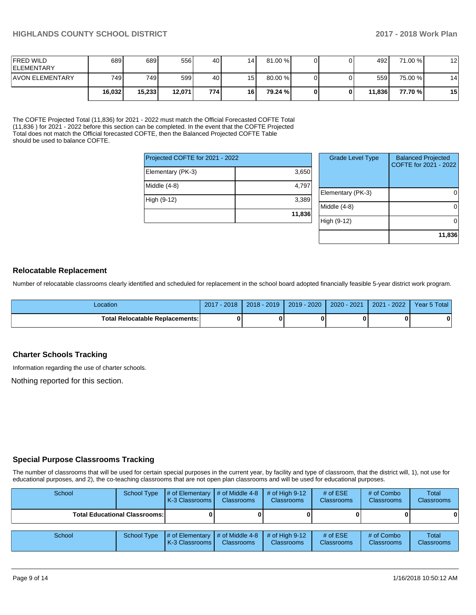| <b>IFRED WILD</b><br><b>IELEMENTARY</b> | 689    | 6891   | 556    | 40   | 14 <sub>1</sub> | 81.00 % |  | 492    | 71.00 % | 12 |
|-----------------------------------------|--------|--------|--------|------|-----------------|---------|--|--------|---------|----|
| <b>AVON ELEMENTARY</b>                  | 749 l  | 749 I  | 599    | 40   | 15              | 80.00 % |  | 559    | 75.00 % | 14 |
|                                         | 16,032 | 15,233 | 12,071 | 7741 | 16              | 79.24 % |  | 11.836 | 77.70 % | 15 |

The COFTE Projected Total (11,836) for 2021 - 2022 must match the Official Forecasted COFTE Total (11,836 ) for 2021 - 2022 before this section can be completed. In the event that the COFTE Projected Total does not match the Official forecasted COFTE, then the Balanced Projected COFTE Table should be used to balance COFTE.

| Projected COFTE for 2021 - 2022 |        |  |  |  |  |  |  |
|---------------------------------|--------|--|--|--|--|--|--|
| Elementary (PK-3)               | 3,650  |  |  |  |  |  |  |
| Middle (4-8)                    | 4,797  |  |  |  |  |  |  |
| High (9-12)                     | 3,389  |  |  |  |  |  |  |
|                                 | 11,836 |  |  |  |  |  |  |

| <b>Grade Level Type</b> | <b>Balanced Projected</b><br>COFTE for 2021 - 2022 |
|-------------------------|----------------------------------------------------|
| Elementary (PK-3)       |                                                    |
| Middle $(4-8)$          |                                                    |
| High (9-12)             |                                                    |
|                         | 11,836                                             |

### **Relocatable Replacement**

Number of relocatable classrooms clearly identified and scheduled for replacement in the school board adopted financially feasible 5-year district work program.

| _ocation                               | $-2018$<br>2017 | $2018 - 2019$ | $2019 - 2020$ | 2020 - 2021 | $-2022$<br>2021 | Year 5 Total |
|----------------------------------------|-----------------|---------------|---------------|-------------|-----------------|--------------|
| <b>Total Relocatable Replacements:</b> |                 |               |               |             |                 | 0            |

## **Charter Schools Tracking**

Information regarding the use of charter schools.

Nothing reported for this section.

## **Special Purpose Classrooms Tracking**

The number of classrooms that will be used for certain special purposes in the current year, by facility and type of classroom, that the district will, 1), not use for educational purposes, and 2), the co-teaching classrooms that are not open plan classrooms and will be used for educational purposes.

| School                               | School Type | # of Elementary<br>K-3 Classrooms | $\parallel$ # of Middle 4-8<br><b>Classrooms</b> | # of High $9-12$<br><b>Classrooms</b> | # of $ESE$<br>Classrooms | # of Combo<br><b>Classrooms</b> | Total<br><b>Classrooms</b> |
|--------------------------------------|-------------|-----------------------------------|--------------------------------------------------|---------------------------------------|--------------------------|---------------------------------|----------------------------|
| <b>Total Educational Classrooms:</b> |             |                                   |                                                  |                                       |                          |                                 | $\mathbf{0}$               |
| School                               | School Type | # of Elementary<br>K-3 Classrooms | $\#$ of Middle 4-8<br><b>Classrooms</b>          | # of High $9-12$<br><b>Classrooms</b> | # of $ESE$<br>Classrooms | # of Combo<br><b>Classrooms</b> | Total<br><b>Classrooms</b> |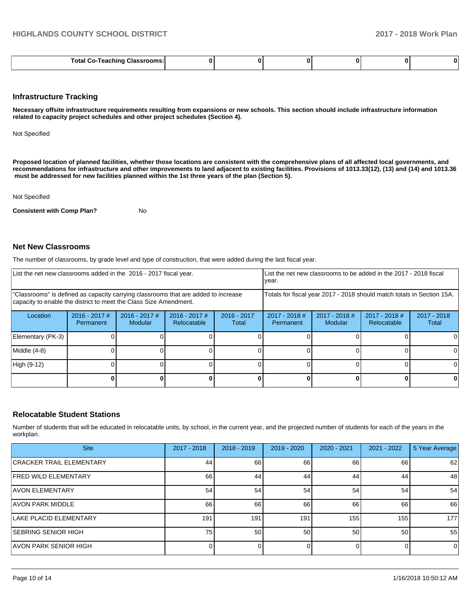|--|--|--|--|--|--|--|

#### **Infrastructure Tracking**

**Necessary offsite infrastructure requirements resulting from expansions or new schools. This section should include infrastructure information related to capacity project schedules and other project schedules (Section 4).** 

Not Specified

**Proposed location of planned facilities, whether those locations are consistent with the comprehensive plans of all affected local governments, and recommendations for infrastructure and other improvements to land adjacent to existing facilities. Provisions of 1013.33(12), (13) and (14) and 1013.36 must be addressed for new facilities planned within the 1st three years of the plan (Section 5).** 

Not Specified

**Consistent with Comp Plan?** No

### **Net New Classrooms**

The number of classrooms, by grade level and type of construction, that were added during the last fiscal year.

| List the net new classrooms added in the 2016 - 2017 fiscal year.                                                                                       |                              |                                   |                                |                        | List the net new classrooms to be added in the 2017 - 2018 fiscal<br>year. |                                   |                                |                        |  |
|---------------------------------------------------------------------------------------------------------------------------------------------------------|------------------------------|-----------------------------------|--------------------------------|------------------------|----------------------------------------------------------------------------|-----------------------------------|--------------------------------|------------------------|--|
| "Classrooms" is defined as capacity carrying classrooms that are added to increase<br>capacity to enable the district to meet the Class Size Amendment. |                              |                                   |                                |                        | Totals for fiscal year 2017 - 2018 should match totals in Section 15A.     |                                   |                                |                        |  |
| Location                                                                                                                                                | $2016 - 2017$ #<br>Permanent | $2016 - 2017$ #<br><b>Modular</b> | $2016 - 2017$ #<br>Relocatable | $2016 - 2017$<br>Total | $2017 - 2018$ #<br>Permanent                                               | $2017 - 2018$ #<br><b>Modular</b> | $2017 - 2018$ #<br>Relocatable | $2017 - 2018$<br>Total |  |
| Elementary (PK-3)                                                                                                                                       |                              |                                   |                                |                        |                                                                            |                                   |                                |                        |  |
| Middle (4-8)                                                                                                                                            |                              |                                   |                                |                        |                                                                            |                                   |                                |                        |  |
| High (9-12)                                                                                                                                             |                              |                                   |                                |                        |                                                                            |                                   |                                | ΩI                     |  |
|                                                                                                                                                         |                              |                                   |                                |                        |                                                                            |                                   |                                | 0                      |  |

### **Relocatable Student Stations**

Number of students that will be educated in relocatable units, by school, in the current year, and the projected number of students for each of the years in the workplan.

| <b>Site</b>                     | $2017 - 2018$ | $2018 - 2019$ | 2019 - 2020 | $2020 - 2021$ | $2021 - 2022$ | 5 Year Average |
|---------------------------------|---------------|---------------|-------------|---------------|---------------|----------------|
| <b>CRACKER TRAIL ELEMENTARY</b> | 44            | 66            | 66          | 66            | 66            | 62             |
| <b>FRED WILD ELEMENTARY</b>     | 66            | 44            | 44          | 44            | 44            | 48             |
| IAVON ELEMENTARY                | 54            | 54            | 54          | 54            | 54            | 54             |
| <b>AVON PARK MIDDLE</b>         | 66            | 66            | 66          | 66            | 66            | 66             |
| <b>LAKE PLACID ELEMENTARY</b>   | 191           | 191           | 191         | 155           | 155           | 177            |
| <b>SEBRING SENIOR HIGH</b>      | 75            | 50            | 50          | 50            | 50            | 55             |
| LAVON PARK SENIOR HIGH          |               |               |             |               |               | 0              |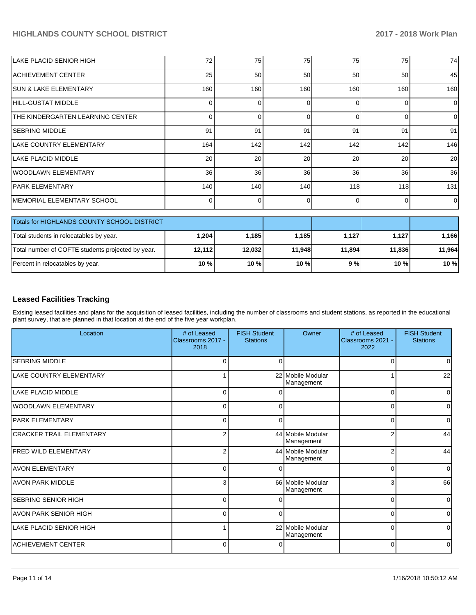| <b>LAKE PLACID SENIOR HIGH</b>                    | 72              | 75       | 75       | 75       | 75       | 74       |
|---------------------------------------------------|-----------------|----------|----------|----------|----------|----------|
| <b>ACHIEVEMENT CENTER</b>                         | 25              | 50       | 50       | 50       | 50       | 45       |
| <b>SUN &amp; LAKE ELEMENTARY</b>                  | 160             | 160      | 160      | 160      | 160      | 160      |
| HILL-GUSTAT MIDDLE                                | 0               | ŋ        | $\Omega$ | $\Omega$ | $\Omega$ | $\Omega$ |
| THE KINDERGARTEN LEARNING CENTER                  | $\Omega$        | $\Omega$ | $\Omega$ | $\Omega$ | 0        | $\Omega$ |
| <b>SEBRING MIDDLE</b>                             | 91              | 91       | 91       | 91       | 91       | 91       |
| LAKE COUNTRY ELEMENTARY                           | 164             | 142      | 142      | 142      | 142      | 146      |
| <b>LAKE PLACID MIDDLE</b>                         | 20              | 20       | 20       | 20       | 20       | 20       |
| <b>WOODLAWN ELEMENTARY</b>                        | 36 <sup>1</sup> | 36       | 36       | 36       | 36       | 36       |
| <b>PARK ELEMENTARY</b>                            | 140             | 140      | 140      | 118      | 118      | 131      |
| MEMORIAL ELEMENTARY SCHOOL                        | $\Omega$        | 0        | $\Omega$ | $\Omega$ | $\Omega$ | $\Omega$ |
| Totals for HIGHLANDS COUNTY SCHOOL DISTRICT       |                 |          |          |          |          |          |
| Total students in relocatables by year.           | 1,204           | 1,185    | 1,185    | 1,127    | 1,127    | 1,166    |
| Total number of COFTE students projected by year. | 12,112          | 12,032   | 11,948   | 11,894   | 11,836   | 11,964   |
| Percent in relocatables by year.                  | 10 %            | 10 %     | 10 %     | 9%       | 10 %     | 10 %     |

# **Leased Facilities Tracking**

Exising leased facilities and plans for the acquisition of leased facilities, including the number of classrooms and student stations, as reported in the educational plant survey, that are planned in that location at the end of the five year workplan.

| Location                        | # of Leased<br>Classrooms 2017 -<br>2018 | <b>FISH Student</b><br><b>Stations</b> | Owner                           | # of Leased<br>Classrooms 2021 -<br>2022 | <b>FISH Student</b><br><b>Stations</b> |
|---------------------------------|------------------------------------------|----------------------------------------|---------------------------------|------------------------------------------|----------------------------------------|
| <b>SEBRING MIDDLE</b>           | $\Omega$                                 | $\Omega$                               |                                 | $\Omega$                                 | $\Omega$                               |
| LAKE COUNTRY ELEMENTARY         |                                          |                                        | 22 Mobile Modular<br>Management |                                          | 22                                     |
| LAKE PLACID MIDDLE              | $\Omega$                                 |                                        |                                 | $\Omega$                                 | $\Omega$                               |
| <b>WOODLAWN ELEMENTARY</b>      | 0                                        | 0                                      |                                 | $\Omega$                                 | 0                                      |
| <b>PARK ELEMENTARY</b>          | 0                                        | 0                                      |                                 | 0                                        | $\Omega$                               |
| <b>CRACKER TRAIL ELEMENTARY</b> | 2                                        |                                        | 44 Mobile Modular<br>Management | $\overline{2}$                           | 44                                     |
| <b>FRED WILD ELEMENTARY</b>     | 2                                        |                                        | 44 Mobile Modular<br>Management | $\overline{2}$                           | 44                                     |
| <b>AVON ELEMENTARY</b>          | 0                                        | ∩                                      |                                 | 0                                        | $\Omega$                               |
| <b>AVON PARK MIDDLE</b>         | 3                                        |                                        | 66 Mobile Modular<br>Management | 3                                        | 66                                     |
| <b>SEBRING SENIOR HIGH</b>      | $\Omega$                                 |                                        |                                 | $\Omega$                                 | $\Omega$                               |
| <b>AVON PARK SENIOR HIGH</b>    | $\Omega$                                 | $\Omega$                               |                                 | $\Omega$                                 | n                                      |
| LAKE PLACID SENIOR HIGH         |                                          |                                        | 22 Mobile Modular<br>Management | 0                                        | $\Omega$                               |
| <b>ACHIEVEMENT CENTER</b>       | 0                                        |                                        |                                 | $\Omega$                                 | 0                                      |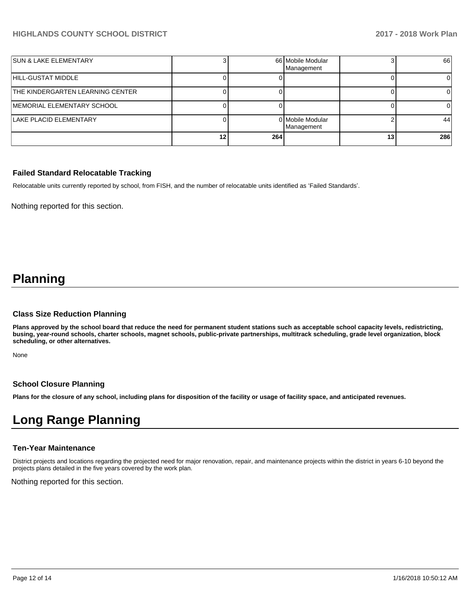| <b>SUN &amp; LAKE ELEMENTARY</b> |    |     | 66 Mobile Modular<br>Management |    | 66  |
|----------------------------------|----|-----|---------------------------------|----|-----|
| HILL-GUSTAT MIDDLE               |    |     |                                 |    |     |
| THE KINDERGARTEN LEARNING CENTER |    |     |                                 |    |     |
| MEMORIAL ELEMENTARY SCHOOL       |    |     |                                 |    |     |
| LAKE PLACID ELEMENTARY           |    |     | 0 Mobile Modular<br>Management  |    | 44  |
|                                  | 12 | 264 |                                 | 13 | 286 |

## **Failed Standard Relocatable Tracking**

Relocatable units currently reported by school, from FISH, and the number of relocatable units identified as 'Failed Standards'.

Nothing reported for this section.

# **Planning**

### **Class Size Reduction Planning**

**Plans approved by the school board that reduce the need for permanent student stations such as acceptable school capacity levels, redistricting, busing, year-round schools, charter schools, magnet schools, public-private partnerships, multitrack scheduling, grade level organization, block scheduling, or other alternatives.**

None

## **School Closure Planning**

**Plans for the closure of any school, including plans for disposition of the facility or usage of facility space, and anticipated revenues.** 

# **Long Range Planning**

## **Ten-Year Maintenance**

District projects and locations regarding the projected need for major renovation, repair, and maintenance projects within the district in years 6-10 beyond the projects plans detailed in the five years covered by the work plan.

Nothing reported for this section.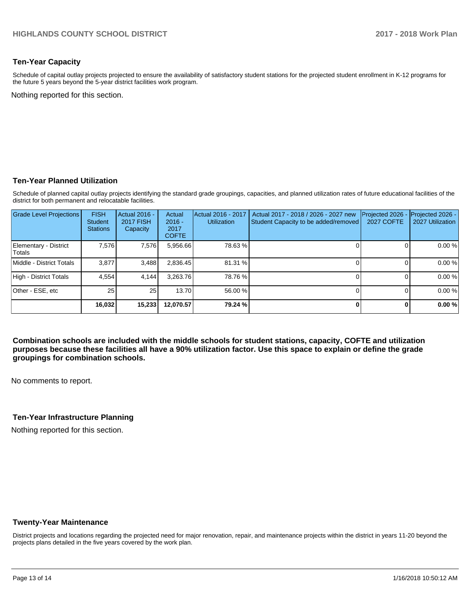# **Ten-Year Capacity**

Schedule of capital outlay projects projected to ensure the availability of satisfactory student stations for the projected student enrollment in K-12 programs for the future 5 years beyond the 5-year district facilities work program.

Nothing reported for this section.

### **Ten-Year Planned Utilization**

Schedule of planned capital outlay projects identifying the standard grade groupings, capacities, and planned utilization rates of future educational facilities of the district for both permanent and relocatable facilities.

| <b>Grade Level Projections</b>   | <b>FISH</b><br><b>Student</b><br><b>Stations</b> | <b>Actual 2016 -</b><br><b>2017 FISH</b><br>Capacity | Actual<br>$2016 -$<br>2017<br><b>COFTE</b> | Actual 2016 - 2017<br><b>Utilization</b> | Actual 2017 - 2018 / 2026 - 2027 new<br>Student Capacity to be added/removed | Projected 2026<br><b>2027 COFTE</b> | Projected 2026 -<br>2027 Utilization |
|----------------------------------|--------------------------------------------------|------------------------------------------------------|--------------------------------------------|------------------------------------------|------------------------------------------------------------------------------|-------------------------------------|--------------------------------------|
| Elementary - District<br> Totals | 7,576                                            | 7,576                                                | 5,956.66                                   | 78.63%                                   |                                                                              |                                     | 0.00%                                |
| Middle - District Totals         | 3.877                                            | 3,488                                                | 2,836.45                                   | 81.31 %                                  |                                                                              |                                     | 0.00%                                |
| High - District Totals           | 4.554                                            | 4.144                                                | 3.263.76                                   | 78.76 %                                  |                                                                              |                                     | 0.00%                                |
| Other - ESE, etc                 | 25                                               | 25                                                   | 13.70                                      | 56.00 %                                  |                                                                              |                                     | 0.00%                                |
|                                  | 16,032                                           | 15,233                                               | 12,070.57                                  | 79.24 %                                  |                                                                              |                                     | 0.00%                                |

**Combination schools are included with the middle schools for student stations, capacity, COFTE and utilization purposes because these facilities all have a 90% utilization factor. Use this space to explain or define the grade groupings for combination schools.** 

No comments to report.

## **Ten-Year Infrastructure Planning**

Nothing reported for this section.

## **Twenty-Year Maintenance**

District projects and locations regarding the projected need for major renovation, repair, and maintenance projects within the district in years 11-20 beyond the projects plans detailed in the five years covered by the work plan.